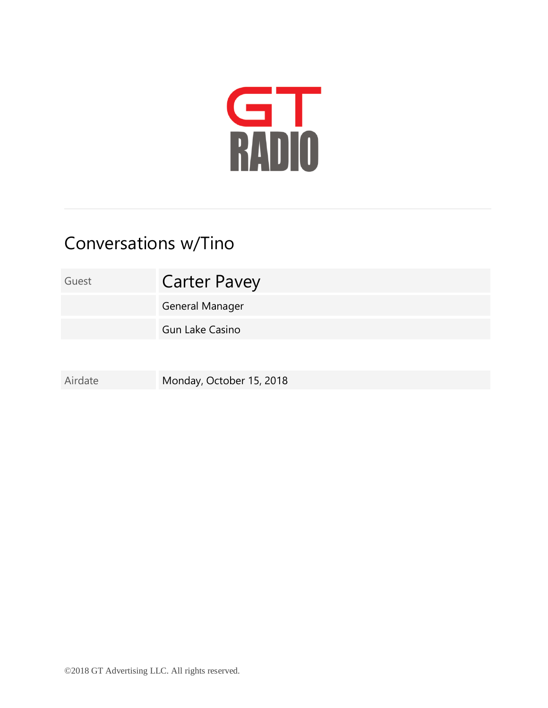

## Conversations w/Tino

Guest **Carter Pavey** 

General Manager

Gun Lake Casino

Airdate Monday, October 15, 2018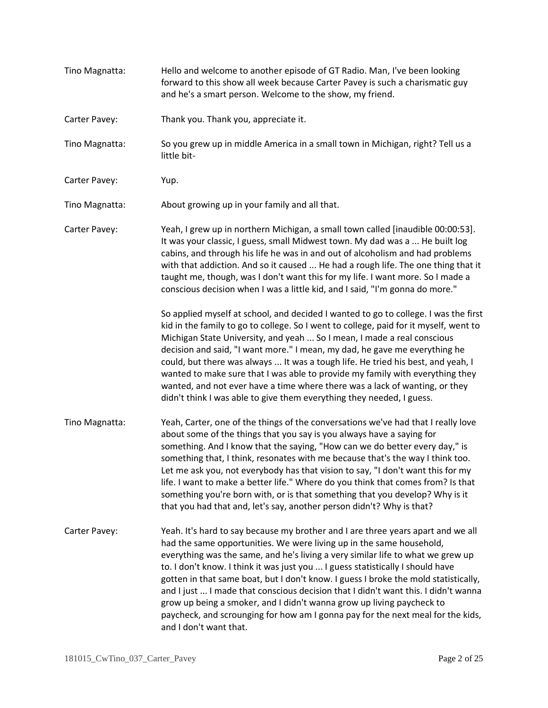Tino Magnatta: Hello and welcome to another episode of GT Radio. Man, I've been looking forward to this show all week because Carter Pavey is such a charismatic guy and he's a smart person. Welcome to the show, my friend. Carter Pavey: Thank you. Thank you, appreciate it. Tino Magnatta: So you grew up in middle America in a small town in Michigan, right? Tell us a little bit-Carter Pavey: Yup. Tino Magnatta: About growing up in your family and all that. Carter Pavey: Yeah, I grew up in northern Michigan, a small town called [inaudible 00:00:53]. It was your classic, I guess, small Midwest town. My dad was a ... He built log cabins, and through his life he was in and out of alcoholism and had problems with that addiction. And so it caused ... He had a rough life. The one thing that it taught me, though, was I don't want this for my life. I want more. So I made a conscious decision when I was a little kid, and I said, "I'm gonna do more." So applied myself at school, and decided I wanted to go to college. I was the first kid in the family to go to college. So I went to college, paid for it myself, went to Michigan State University, and yeah ... So I mean, I made a real conscious decision and said, "I want more." I mean, my dad, he gave me everything he could, but there was always ... It was a tough life. He tried his best, and yeah, I wanted to make sure that I was able to provide my family with everything they wanted, and not ever have a time where there was a lack of wanting, or they didn't think I was able to give them everything they needed, I guess. Tino Magnatta: Yeah, Carter, one of the things of the conversations we've had that I really love about some of the things that you say is you always have a saying for something. And I know that the saying, "How can we do better every day," is something that, I think, resonates with me because that's the way I think too. Let me ask you, not everybody has that vision to say, "I don't want this for my life. I want to make a better life." Where do you think that comes from? Is that something you're born with, or is that something that you develop? Why is it that you had that and, let's say, another person didn't? Why is that? Carter Pavey: Yeah. It's hard to say because my brother and I are three years apart and we all had the same opportunities. We were living up in the same household, everything was the same, and he's living a very similar life to what we grew up to. I don't know. I think it was just you ... I guess statistically I should have gotten in that same boat, but I don't know. I guess I broke the mold statistically, and I just ... I made that conscious decision that I didn't want this. I didn't wanna grow up being a smoker, and I didn't wanna grow up living paycheck to paycheck, and scrounging for how am I gonna pay for the next meal for the kids, and I don't want that.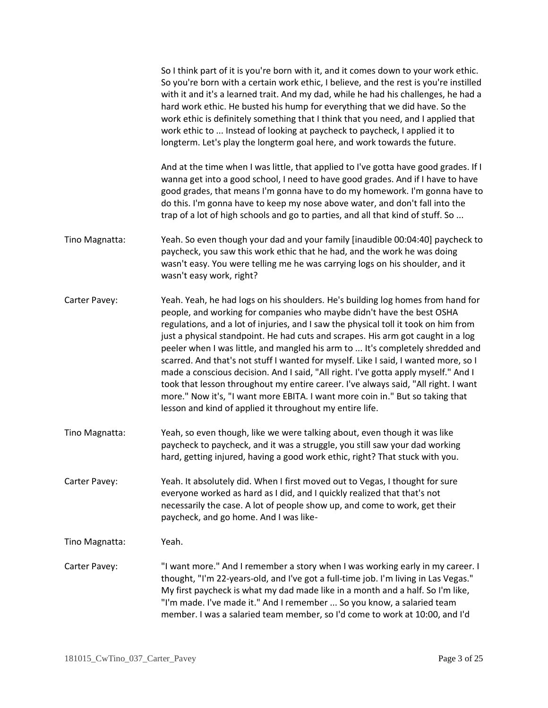|                | So I think part of it is you're born with it, and it comes down to your work ethic.<br>So you're born with a certain work ethic, I believe, and the rest is you're instilled<br>with it and it's a learned trait. And my dad, while he had his challenges, he had a<br>hard work ethic. He busted his hump for everything that we did have. So the<br>work ethic is definitely something that I think that you need, and I applied that<br>work ethic to  Instead of looking at paycheck to paycheck, I applied it to<br>longterm. Let's play the longterm goal here, and work towards the future.                                                                                                                                                                                                                                    |
|----------------|---------------------------------------------------------------------------------------------------------------------------------------------------------------------------------------------------------------------------------------------------------------------------------------------------------------------------------------------------------------------------------------------------------------------------------------------------------------------------------------------------------------------------------------------------------------------------------------------------------------------------------------------------------------------------------------------------------------------------------------------------------------------------------------------------------------------------------------|
|                | And at the time when I was little, that applied to I've gotta have good grades. If I<br>wanna get into a good school, I need to have good grades. And if I have to have<br>good grades, that means I'm gonna have to do my homework. I'm gonna have to<br>do this. I'm gonna have to keep my nose above water, and don't fall into the<br>trap of a lot of high schools and go to parties, and all that kind of stuff. So                                                                                                                                                                                                                                                                                                                                                                                                             |
| Tino Magnatta: | Yeah. So even though your dad and your family [inaudible 00:04:40] paycheck to<br>paycheck, you saw this work ethic that he had, and the work he was doing<br>wasn't easy. You were telling me he was carrying logs on his shoulder, and it<br>wasn't easy work, right?                                                                                                                                                                                                                                                                                                                                                                                                                                                                                                                                                               |
| Carter Pavey:  | Yeah. Yeah, he had logs on his shoulders. He's building log homes from hand for<br>people, and working for companies who maybe didn't have the best OSHA<br>regulations, and a lot of injuries, and I saw the physical toll it took on him from<br>just a physical standpoint. He had cuts and scrapes. His arm got caught in a log<br>peeler when I was little, and mangled his arm to  It's completely shredded and<br>scarred. And that's not stuff I wanted for myself. Like I said, I wanted more, so I<br>made a conscious decision. And I said, "All right. I've gotta apply myself." And I<br>took that lesson throughout my entire career. I've always said, "All right. I want<br>more." Now it's, "I want more EBITA. I want more coin in." But so taking that<br>lesson and kind of applied it throughout my entire life. |
| Tino Magnatta: | Yeah, so even though, like we were talking about, even though it was like<br>paycheck to paycheck, and it was a struggle, you still saw your dad working<br>hard, getting injured, having a good work ethic, right? That stuck with you.                                                                                                                                                                                                                                                                                                                                                                                                                                                                                                                                                                                              |
| Carter Pavey:  | Yeah. It absolutely did. When I first moved out to Vegas, I thought for sure<br>everyone worked as hard as I did, and I quickly realized that that's not<br>necessarily the case. A lot of people show up, and come to work, get their<br>paycheck, and go home. And I was like-                                                                                                                                                                                                                                                                                                                                                                                                                                                                                                                                                      |
| Tino Magnatta: | Yeah.                                                                                                                                                                                                                                                                                                                                                                                                                                                                                                                                                                                                                                                                                                                                                                                                                                 |
| Carter Pavey:  | "I want more." And I remember a story when I was working early in my career. I<br>thought, "I'm 22-years-old, and I've got a full-time job. I'm living in Las Vegas."<br>My first paycheck is what my dad made like in a month and a half. So I'm like,<br>"I'm made. I've made it." And I remember  So you know, a salaried team<br>member. I was a salaried team member, so I'd come to work at 10:00, and I'd                                                                                                                                                                                                                                                                                                                                                                                                                      |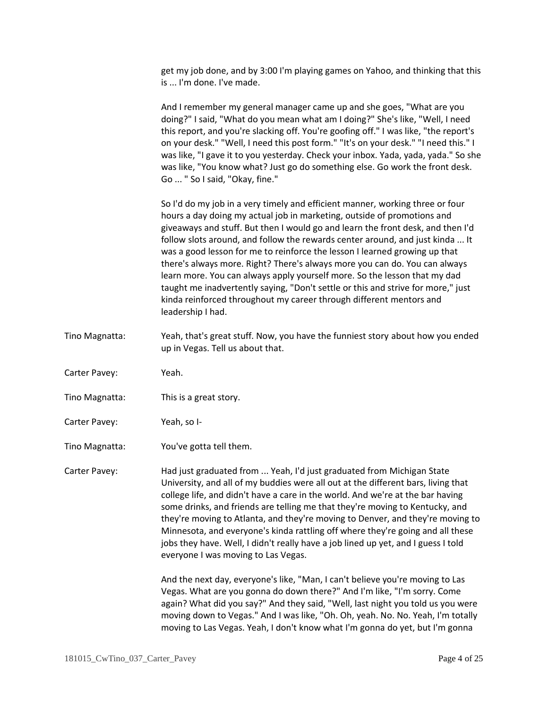get my job done, and by 3:00 I'm playing games on Yahoo, and thinking that this is ... I'm done. I've made.

And I remember my general manager came up and she goes, "What are you doing?" I said, "What do you mean what am I doing?" She's like, "Well, I need this report, and you're slacking off. You're goofing off." I was like, "the report's on your desk." "Well, I need this post form." "It's on your desk." "I need this." I was like, "I gave it to you yesterday. Check your inbox. Yada, yada, yada." So she was like, "You know what? Just go do something else. Go work the front desk. Go ... " So I said, "Okay, fine."

So I'd do my job in a very timely and efficient manner, working three or four hours a day doing my actual job in marketing, outside of promotions and giveaways and stuff. But then I would go and learn the front desk, and then I'd follow slots around, and follow the rewards center around, and just kinda ... It was a good lesson for me to reinforce the lesson I learned growing up that there's always more. Right? There's always more you can do. You can always learn more. You can always apply yourself more. So the lesson that my dad taught me inadvertently saying, "Don't settle or this and strive for more," just kinda reinforced throughout my career through different mentors and leadership I had.

- Tino Magnatta: Yeah, that's great stuff. Now, you have the funniest story about how you ended up in Vegas. Tell us about that.
- Carter Pavey: Yeah.
- Tino Magnatta: This is a great story.
- Carter Pavey: Yeah, so I-
- Tino Magnatta: You've gotta tell them.

Carter Pavey: Had just graduated from ... Yeah, I'd just graduated from Michigan State University, and all of my buddies were all out at the different bars, living that college life, and didn't have a care in the world. And we're at the bar having some drinks, and friends are telling me that they're moving to Kentucky, and they're moving to Atlanta, and they're moving to Denver, and they're moving to Minnesota, and everyone's kinda rattling off where they're going and all these jobs they have. Well, I didn't really have a job lined up yet, and I guess I told everyone I was moving to Las Vegas.

> And the next day, everyone's like, "Man, I can't believe you're moving to Las Vegas. What are you gonna do down there?" And I'm like, "I'm sorry. Come again? What did you say?" And they said, "Well, last night you told us you were moving down to Vegas." And I was like, "Oh. Oh, yeah. No. No. Yeah, I'm totally moving to Las Vegas. Yeah, I don't know what I'm gonna do yet, but I'm gonna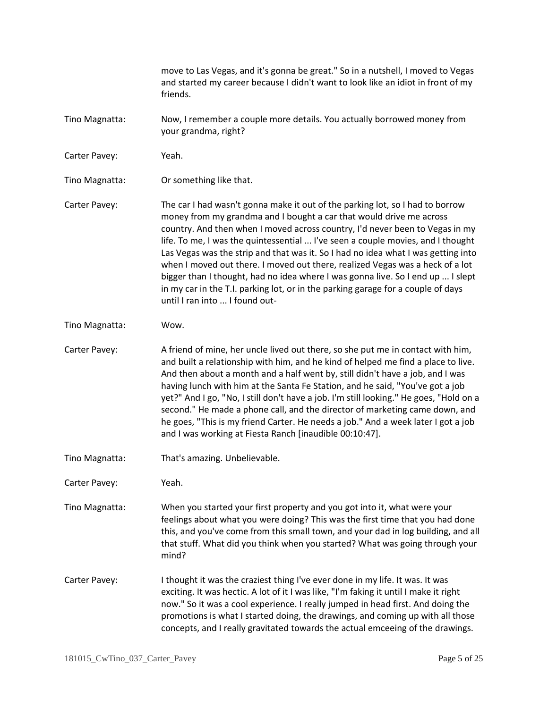move to Las Vegas, and it's gonna be great." So in a nutshell, I moved to Vegas and started my career because I didn't want to look like an idiot in front of my friends. Tino Magnatta: Now, I remember a couple more details. You actually borrowed money from your grandma, right? Carter Pavey: Yeah. Tino Magnatta: Or something like that. Carter Pavey: The car I had wasn't gonna make it out of the parking lot, so I had to borrow money from my grandma and I bought a car that would drive me across country. And then when I moved across country, I'd never been to Vegas in my life. To me, I was the quintessential ... I've seen a couple movies, and I thought Las Vegas was the strip and that was it. So I had no idea what I was getting into when I moved out there. I moved out there, realized Vegas was a heck of a lot bigger than I thought, had no idea where I was gonna live. So I end up ... I slept in my car in the T.I. parking lot, or in the parking garage for a couple of days until I ran into ... I found out-Tino Magnatta: Wow. Carter Pavey: A friend of mine, her uncle lived out there, so she put me in contact with him, and built a relationship with him, and he kind of helped me find a place to live. And then about a month and a half went by, still didn't have a job, and I was having lunch with him at the Santa Fe Station, and he said, "You've got a job yet?" And I go, "No, I still don't have a job. I'm still looking." He goes, "Hold on a second." He made a phone call, and the director of marketing came down, and he goes, "This is my friend Carter. He needs a job." And a week later I got a job and I was working at Fiesta Ranch [inaudible 00:10:47]. Tino Magnatta: That's amazing. Unbelievable. Carter Pavey: Yeah. Tino Magnatta: When you started your first property and you got into it, what were your feelings about what you were doing? This was the first time that you had done this, and you've come from this small town, and your dad in log building, and all that stuff. What did you think when you started? What was going through your mind? Carter Pavey: I thought it was the craziest thing I've ever done in my life. It was. It was exciting. It was hectic. A lot of it I was like, "I'm faking it until I make it right now." So it was a cool experience. I really jumped in head first. And doing the promotions is what I started doing, the drawings, and coming up with all those concepts, and I really gravitated towards the actual emceeing of the drawings.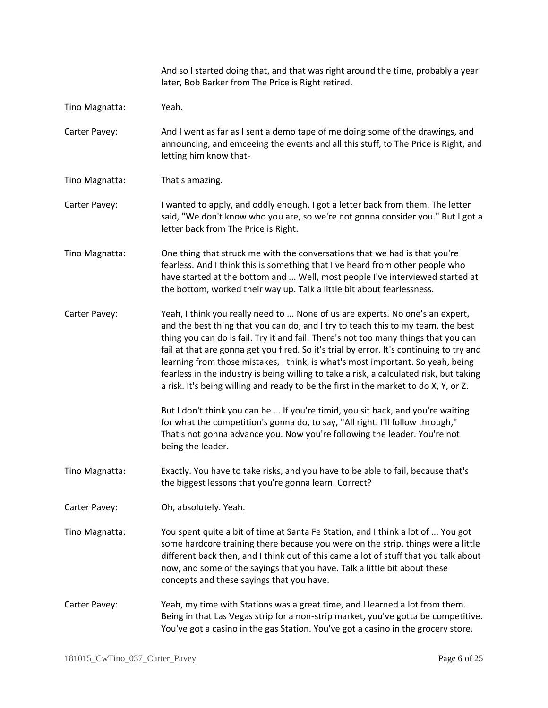|                | And so I started doing that, and that was right around the time, probably a year<br>later, Bob Barker from The Price is Right retired.                                                                                                                                                                                                                                                                                                                                                                                                                                                                                     |
|----------------|----------------------------------------------------------------------------------------------------------------------------------------------------------------------------------------------------------------------------------------------------------------------------------------------------------------------------------------------------------------------------------------------------------------------------------------------------------------------------------------------------------------------------------------------------------------------------------------------------------------------------|
| Tino Magnatta: | Yeah.                                                                                                                                                                                                                                                                                                                                                                                                                                                                                                                                                                                                                      |
| Carter Pavey:  | And I went as far as I sent a demo tape of me doing some of the drawings, and<br>announcing, and emceeing the events and all this stuff, to The Price is Right, and<br>letting him know that-                                                                                                                                                                                                                                                                                                                                                                                                                              |
| Tino Magnatta: | That's amazing.                                                                                                                                                                                                                                                                                                                                                                                                                                                                                                                                                                                                            |
| Carter Pavey:  | I wanted to apply, and oddly enough, I got a letter back from them. The letter<br>said, "We don't know who you are, so we're not gonna consider you." But I got a<br>letter back from The Price is Right.                                                                                                                                                                                                                                                                                                                                                                                                                  |
| Tino Magnatta: | One thing that struck me with the conversations that we had is that you're<br>fearless. And I think this is something that I've heard from other people who<br>have started at the bottom and  Well, most people I've interviewed started at<br>the bottom, worked their way up. Talk a little bit about fearlessness.                                                                                                                                                                                                                                                                                                     |
| Carter Pavey:  | Yeah, I think you really need to  None of us are experts. No one's an expert,<br>and the best thing that you can do, and I try to teach this to my team, the best<br>thing you can do is fail. Try it and fail. There's not too many things that you can<br>fail at that are gonna get you fired. So it's trial by error. It's continuing to try and<br>learning from those mistakes, I think, is what's most important. So yeah, being<br>fearless in the industry is being willing to take a risk, a calculated risk, but taking<br>a risk. It's being willing and ready to be the first in the market to do X, Y, or Z. |
|                | But I don't think you can be  If you're timid, you sit back, and you're waiting<br>for what the competition's gonna do, to say, "All right. I'll follow through,"<br>That's not gonna advance you. Now you're following the leader. You're not<br>being the leader.                                                                                                                                                                                                                                                                                                                                                        |
| Tino Magnatta: | Exactly. You have to take risks, and you have to be able to fail, because that's<br>the biggest lessons that you're gonna learn. Correct?                                                                                                                                                                                                                                                                                                                                                                                                                                                                                  |
| Carter Pavey:  | Oh, absolutely. Yeah.                                                                                                                                                                                                                                                                                                                                                                                                                                                                                                                                                                                                      |
| Tino Magnatta: | You spent quite a bit of time at Santa Fe Station, and I think a lot of  You got<br>some hardcore training there because you were on the strip, things were a little<br>different back then, and I think out of this came a lot of stuff that you talk about<br>now, and some of the sayings that you have. Talk a little bit about these<br>concepts and these sayings that you have.                                                                                                                                                                                                                                     |
| Carter Pavey:  | Yeah, my time with Stations was a great time, and I learned a lot from them.<br>Being in that Las Vegas strip for a non-strip market, you've gotta be competitive.<br>You've got a casino in the gas Station. You've got a casino in the grocery store.                                                                                                                                                                                                                                                                                                                                                                    |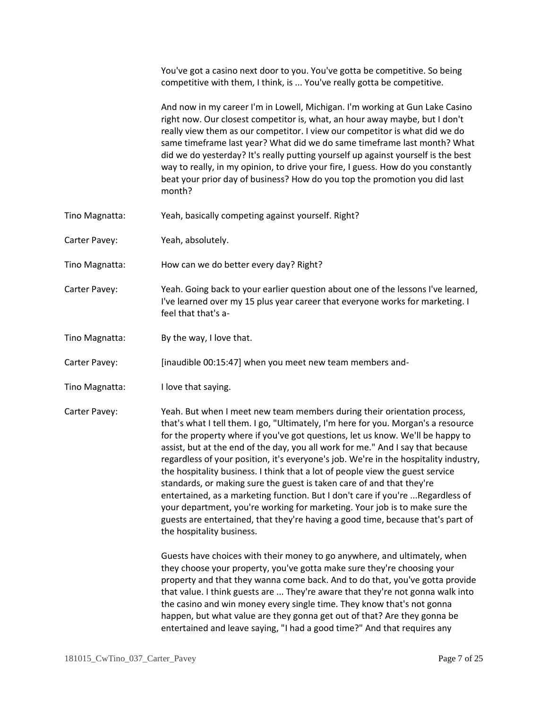|                | You've got a casino next door to you. You've gotta be competitive. So being<br>competitive with them, I think, is  You've really gotta be competitive.                                                                                                                                                                                                                                                                                                                                                                                                                                                                                                                                                                                                                                                                                                                 |
|----------------|------------------------------------------------------------------------------------------------------------------------------------------------------------------------------------------------------------------------------------------------------------------------------------------------------------------------------------------------------------------------------------------------------------------------------------------------------------------------------------------------------------------------------------------------------------------------------------------------------------------------------------------------------------------------------------------------------------------------------------------------------------------------------------------------------------------------------------------------------------------------|
|                | And now in my career I'm in Lowell, Michigan. I'm working at Gun Lake Casino<br>right now. Our closest competitor is, what, an hour away maybe, but I don't<br>really view them as our competitor. I view our competitor is what did we do<br>same timeframe last year? What did we do same timeframe last month? What<br>did we do yesterday? It's really putting yourself up against yourself is the best<br>way to really, in my opinion, to drive your fire, I guess. How do you constantly<br>beat your prior day of business? How do you top the promotion you did last<br>month?                                                                                                                                                                                                                                                                                |
| Tino Magnatta: | Yeah, basically competing against yourself. Right?                                                                                                                                                                                                                                                                                                                                                                                                                                                                                                                                                                                                                                                                                                                                                                                                                     |
| Carter Pavey:  | Yeah, absolutely.                                                                                                                                                                                                                                                                                                                                                                                                                                                                                                                                                                                                                                                                                                                                                                                                                                                      |
| Tino Magnatta: | How can we do better every day? Right?                                                                                                                                                                                                                                                                                                                                                                                                                                                                                                                                                                                                                                                                                                                                                                                                                                 |
| Carter Pavey:  | Yeah. Going back to your earlier question about one of the lessons I've learned,<br>I've learned over my 15 plus year career that everyone works for marketing. I<br>feel that that's a-                                                                                                                                                                                                                                                                                                                                                                                                                                                                                                                                                                                                                                                                               |
| Tino Magnatta: | By the way, I love that.                                                                                                                                                                                                                                                                                                                                                                                                                                                                                                                                                                                                                                                                                                                                                                                                                                               |
| Carter Pavey:  | [inaudible 00:15:47] when you meet new team members and-                                                                                                                                                                                                                                                                                                                                                                                                                                                                                                                                                                                                                                                                                                                                                                                                               |
| Tino Magnatta: | I love that saying.                                                                                                                                                                                                                                                                                                                                                                                                                                                                                                                                                                                                                                                                                                                                                                                                                                                    |
| Carter Pavey:  | Yeah. But when I meet new team members during their orientation process,<br>that's what I tell them. I go, "Ultimately, I'm here for you. Morgan's a resource<br>for the property where if you've got questions, let us know. We'll be happy to<br>assist, but at the end of the day, you all work for me." And I say that because<br>regardless of your position, it's everyone's job. We're in the hospitality industry,<br>the hospitality business. I think that a lot of people view the guest service<br>standards, or making sure the guest is taken care of and that they're<br>entertained, as a marketing function. But I don't care if you're  Regardless of<br>your department, you're working for marketing. Your job is to make sure the<br>guests are entertained, that they're having a good time, because that's part of<br>the hospitality business. |
|                | Guests have choices with their money to go anywhere, and ultimately, when<br>they choose your property, you've gotta make sure they're choosing your<br>property and that they wanna come back. And to do that, you've gotta provide<br>that value. I think guests are  They're aware that they're not gonna walk into<br>the casino and win money every single time. They know that's not gonna<br>happen, but what value are they gonna get out of that? Are they gonna be<br>entertained and leave saying, "I had a good time?" And that requires any                                                                                                                                                                                                                                                                                                               |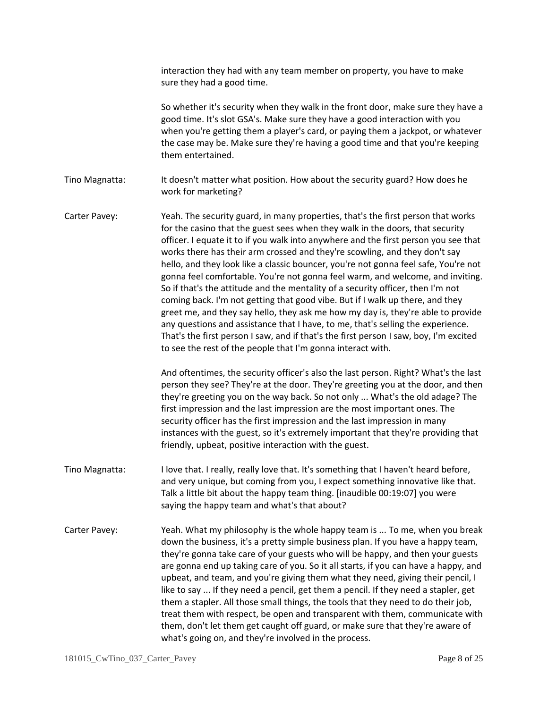interaction they had with any team member on property, you have to make sure they had a good time.

So whether it's security when they walk in the front door, make sure they have a good time. It's slot GSA's. Make sure they have a good interaction with you when you're getting them a player's card, or paying them a jackpot, or whatever the case may be. Make sure they're having a good time and that you're keeping them entertained.

Tino Magnatta: It doesn't matter what position. How about the security guard? How does he work for marketing?

Carter Pavey: Yeah. The security guard, in many properties, that's the first person that works for the casino that the guest sees when they walk in the doors, that security officer. I equate it to if you walk into anywhere and the first person you see that works there has their arm crossed and they're scowling, and they don't say hello, and they look like a classic bouncer, you're not gonna feel safe, You're not gonna feel comfortable. You're not gonna feel warm, and welcome, and inviting. So if that's the attitude and the mentality of a security officer, then I'm not coming back. I'm not getting that good vibe. But if I walk up there, and they greet me, and they say hello, they ask me how my day is, they're able to provide any questions and assistance that I have, to me, that's selling the experience. That's the first person I saw, and if that's the first person I saw, boy, I'm excited to see the rest of the people that I'm gonna interact with.

> And oftentimes, the security officer's also the last person. Right? What's the last person they see? They're at the door. They're greeting you at the door, and then they're greeting you on the way back. So not only ... What's the old adage? The first impression and the last impression are the most important ones. The security officer has the first impression and the last impression in many instances with the guest, so it's extremely important that they're providing that friendly, upbeat, positive interaction with the guest.

Tino Magnatta: I love that. I really, really love that. It's something that I haven't heard before, and very unique, but coming from you, I expect something innovative like that. Talk a little bit about the happy team thing. [inaudible 00:19:07] you were saying the happy team and what's that about?

Carter Pavey: Yeah. What my philosophy is the whole happy team is ... To me, when you break down the business, it's a pretty simple business plan. If you have a happy team, they're gonna take care of your guests who will be happy, and then your guests are gonna end up taking care of you. So it all starts, if you can have a happy, and upbeat, and team, and you're giving them what they need, giving their pencil, I like to say ... If they need a pencil, get them a pencil. If they need a stapler, get them a stapler. All those small things, the tools that they need to do their job, treat them with respect, be open and transparent with them, communicate with them, don't let them get caught off guard, or make sure that they're aware of what's going on, and they're involved in the process.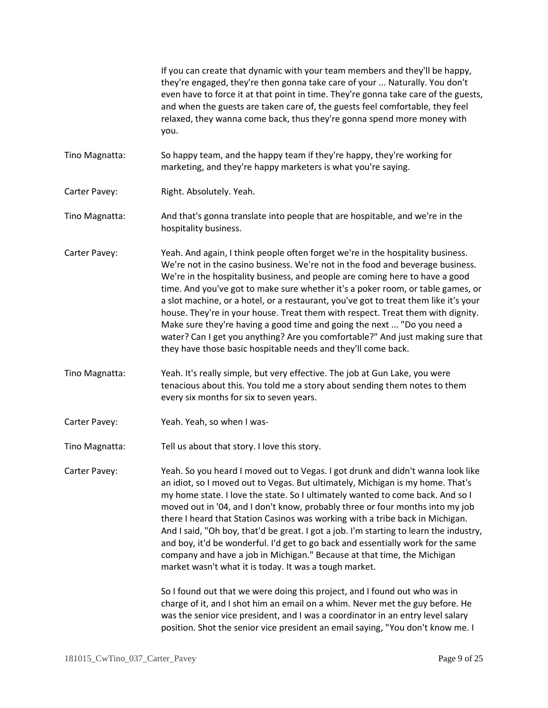If you can create that dynamic with your team members and they'll be happy, they're engaged, they're then gonna take care of your ... Naturally. You don't even have to force it at that point in time. They're gonna take care of the guests, and when the guests are taken care of, the guests feel comfortable, they feel relaxed, they wanna come back, thus they're gonna spend more money with you.

Tino Magnatta: So happy team, and the happy team if they're happy, they're working for marketing, and they're happy marketers is what you're saying.

- Carter Pavey: Right. Absolutely. Yeah.
- Tino Magnatta: And that's gonna translate into people that are hospitable, and we're in the hospitality business.
- Carter Pavey: Yeah. And again, I think people often forget we're in the hospitality business. We're not in the casino business. We're not in the food and beverage business. We're in the hospitality business, and people are coming here to have a good time. And you've got to make sure whether it's a poker room, or table games, or a slot machine, or a hotel, or a restaurant, you've got to treat them like it's your house. They're in your house. Treat them with respect. Treat them with dignity. Make sure they're having a good time and going the next ... "Do you need a water? Can I get you anything? Are you comfortable?" And just making sure that they have those basic hospitable needs and they'll come back.
- Tino Magnatta: Yeah. It's really simple, but very effective. The job at Gun Lake, you were tenacious about this. You told me a story about sending them notes to them every six months for six to seven years.
- Carter Pavey: Yeah. Yeah, so when I was-
- Tino Magnatta: Tell us about that story. I love this story.

Carter Pavey: Yeah. So you heard I moved out to Vegas. I got drunk and didn't wanna look like an idiot, so I moved out to Vegas. But ultimately, Michigan is my home. That's my home state. I love the state. So I ultimately wanted to come back. And so I moved out in '04, and I don't know, probably three or four months into my job there I heard that Station Casinos was working with a tribe back in Michigan. And I said, "Oh boy, that'd be great. I got a job. I'm starting to learn the industry, and boy, it'd be wonderful. I'd get to go back and essentially work for the same company and have a job in Michigan." Because at that time, the Michigan market wasn't what it is today. It was a tough market.

> So I found out that we were doing this project, and I found out who was in charge of it, and I shot him an email on a whim. Never met the guy before. He was the senior vice president, and I was a coordinator in an entry level salary position. Shot the senior vice president an email saying, "You don't know me. I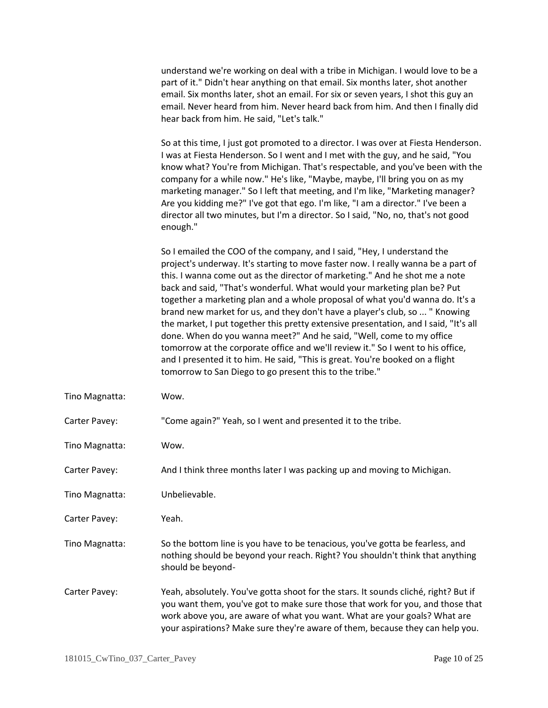understand we're working on deal with a tribe in Michigan. I would love to be a part of it." Didn't hear anything on that email. Six months later, shot another email. Six months later, shot an email. For six or seven years, I shot this guy an email. Never heard from him. Never heard back from him. And then I finally did hear back from him. He said, "Let's talk."

So at this time, I just got promoted to a director. I was over at Fiesta Henderson. I was at Fiesta Henderson. So I went and I met with the guy, and he said, "You know what? You're from Michigan. That's respectable, and you've been with the company for a while now." He's like, "Maybe, maybe, I'll bring you on as my marketing manager." So I left that meeting, and I'm like, "Marketing manager? Are you kidding me?" I've got that ego. I'm like, "I am a director." I've been a director all two minutes, but I'm a director. So I said, "No, no, that's not good enough."

So I emailed the COO of the company, and I said, "Hey, I understand the project's underway. It's starting to move faster now. I really wanna be a part of this. I wanna come out as the director of marketing." And he shot me a note back and said, "That's wonderful. What would your marketing plan be? Put together a marketing plan and a whole proposal of what you'd wanna do. It's a brand new market for us, and they don't have a player's club, so ... " Knowing the market, I put together this pretty extensive presentation, and I said, "It's all done. When do you wanna meet?" And he said, "Well, come to my office tomorrow at the corporate office and we'll review it." So I went to his office, and I presented it to him. He said, "This is great. You're booked on a flight tomorrow to San Diego to go present this to the tribe."

| Tino Magnatta: | Wow.                                                                                                                                                                                                                                                                                                                                |
|----------------|-------------------------------------------------------------------------------------------------------------------------------------------------------------------------------------------------------------------------------------------------------------------------------------------------------------------------------------|
| Carter Pavey:  | "Come again?" Yeah, so I went and presented it to the tribe.                                                                                                                                                                                                                                                                        |
| Tino Magnatta: | Wow.                                                                                                                                                                                                                                                                                                                                |
| Carter Pavey:  | And I think three months later I was packing up and moving to Michigan.                                                                                                                                                                                                                                                             |
| Tino Magnatta: | Unbelievable.                                                                                                                                                                                                                                                                                                                       |
| Carter Pavey:  | Yeah.                                                                                                                                                                                                                                                                                                                               |
| Tino Magnatta: | So the bottom line is you have to be tenacious, you've gotta be fearless, and<br>nothing should be beyond your reach. Right? You shouldn't think that anything<br>should be beyond-                                                                                                                                                 |
| Carter Pavey:  | Yeah, absolutely. You've gotta shoot for the stars. It sounds cliché, right? But if<br>you want them, you've got to make sure those that work for you, and those that<br>work above you, are aware of what you want. What are your goals? What are<br>your aspirations? Make sure they're aware of them, because they can help you. |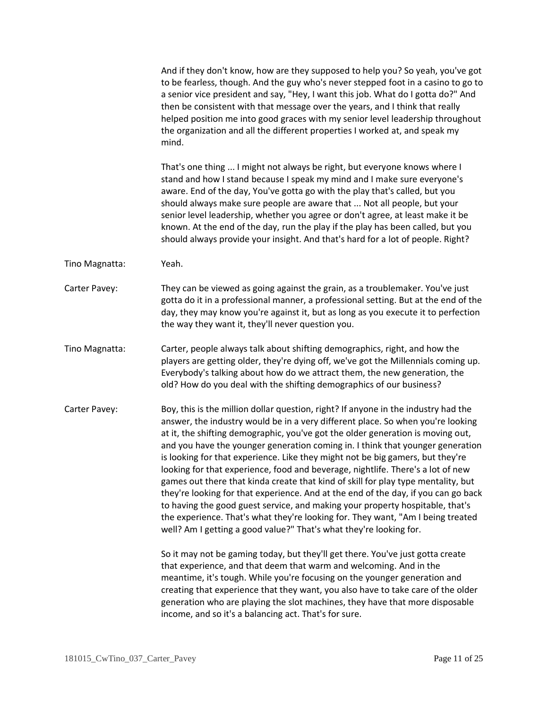And if they don't know, how are they supposed to help you? So yeah, you've got to be fearless, though. And the guy who's never stepped foot in a casino to go to a senior vice president and say, "Hey, I want this job. What do I gotta do?" And then be consistent with that message over the years, and I think that really helped position me into good graces with my senior level leadership throughout the organization and all the different properties I worked at, and speak my mind.

That's one thing ... I might not always be right, but everyone knows where I stand and how I stand because I speak my mind and I make sure everyone's aware. End of the day, You've gotta go with the play that's called, but you should always make sure people are aware that ... Not all people, but your senior level leadership, whether you agree or don't agree, at least make it be known. At the end of the day, run the play if the play has been called, but you should always provide your insight. And that's hard for a lot of people. Right?

Tino Magnatta: Yeah.

Carter Pavey: They can be viewed as going against the grain, as a troublemaker. You've just gotta do it in a professional manner, a professional setting. But at the end of the day, they may know you're against it, but as long as you execute it to perfection the way they want it, they'll never question you.

Tino Magnatta: Carter, people always talk about shifting demographics, right, and how the players are getting older, they're dying off, we've got the Millennials coming up. Everybody's talking about how do we attract them, the new generation, the old? How do you deal with the shifting demographics of our business?

Carter Pavey: Boy, this is the million dollar question, right? If anyone in the industry had the answer, the industry would be in a very different place. So when you're looking at it, the shifting demographic, you've got the older generation is moving out, and you have the younger generation coming in. I think that younger generation is looking for that experience. Like they might not be big gamers, but they're looking for that experience, food and beverage, nightlife. There's a lot of new games out there that kinda create that kind of skill for play type mentality, but they're looking for that experience. And at the end of the day, if you can go back to having the good guest service, and making your property hospitable, that's the experience. That's what they're looking for. They want, "Am I being treated well? Am I getting a good value?" That's what they're looking for.

> So it may not be gaming today, but they'll get there. You've just gotta create that experience, and that deem that warm and welcoming. And in the meantime, it's tough. While you're focusing on the younger generation and creating that experience that they want, you also have to take care of the older generation who are playing the slot machines, they have that more disposable income, and so it's a balancing act. That's for sure.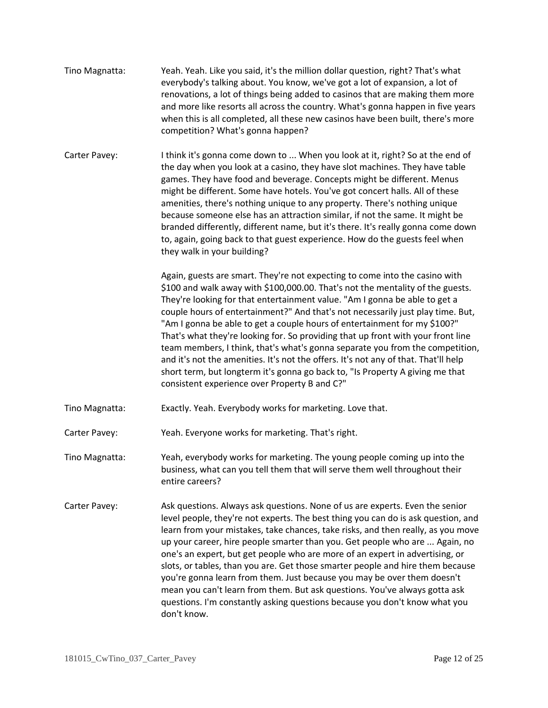- Tino Magnatta: Yeah. Yeah. Like you said, it's the million dollar question, right? That's what everybody's talking about. You know, we've got a lot of expansion, a lot of renovations, a lot of things being added to casinos that are making them more and more like resorts all across the country. What's gonna happen in five years when this is all completed, all these new casinos have been built, there's more competition? What's gonna happen?
- Carter Pavey: I think it's gonna come down to ... When you look at it, right? So at the end of the day when you look at a casino, they have slot machines. They have table games. They have food and beverage. Concepts might be different. Menus might be different. Some have hotels. You've got concert halls. All of these amenities, there's nothing unique to any property. There's nothing unique because someone else has an attraction similar, if not the same. It might be branded differently, different name, but it's there. It's really gonna come down to, again, going back to that guest experience. How do the guests feel when they walk in your building?

Again, guests are smart. They're not expecting to come into the casino with \$100 and walk away with \$100,000.00. That's not the mentality of the guests. They're looking for that entertainment value. "Am I gonna be able to get a couple hours of entertainment?" And that's not necessarily just play time. But, "Am I gonna be able to get a couple hours of entertainment for my \$100?" That's what they're looking for. So providing that up front with your front line team members, I think, that's what's gonna separate you from the competition, and it's not the amenities. It's not the offers. It's not any of that. That'll help short term, but longterm it's gonna go back to, "Is Property A giving me that consistent experience over Property B and C?"

- Tino Magnatta: Exactly. Yeah. Everybody works for marketing. Love that.
- Carter Pavey: Yeah. Everyone works for marketing. That's right.
- Tino Magnatta: Yeah, everybody works for marketing. The young people coming up into the business, what can you tell them that will serve them well throughout their entire careers?
- Carter Pavey: Ask questions. Always ask questions. None of us are experts. Even the senior level people, they're not experts. The best thing you can do is ask question, and learn from your mistakes, take chances, take risks, and then really, as you move up your career, hire people smarter than you. Get people who are ... Again, no one's an expert, but get people who are more of an expert in advertising, or slots, or tables, than you are. Get those smarter people and hire them because you're gonna learn from them. Just because you may be over them doesn't mean you can't learn from them. But ask questions. You've always gotta ask questions. I'm constantly asking questions because you don't know what you don't know.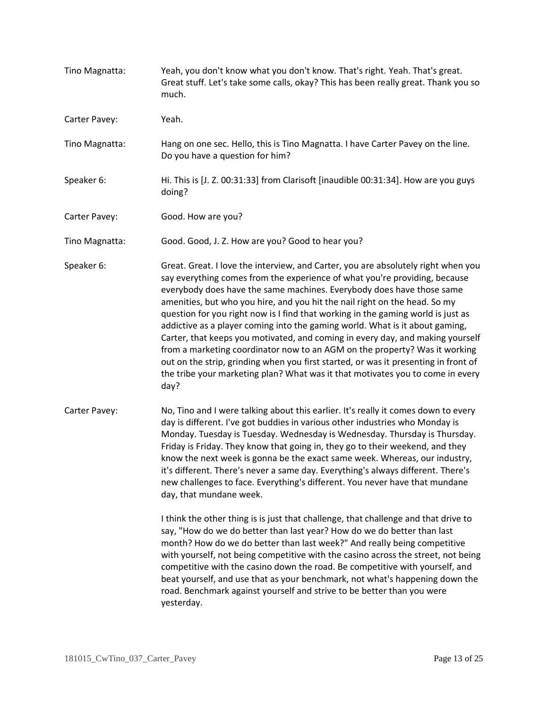Tino Magnatta: Yeah, you don't know what you don't know. That's right. Yeah. That's great. Great stuff. Let's take some calls, okay? This has been really great. Thank you so much. Carter Pavey: Yeah. Tino Magnatta: Hang on one sec. Hello, this is Tino Magnatta. I have Carter Pavey on the line. Do you have a question for him? Speaker 6: Hi. This is [J. Z. 00:31:33] from Clarisoft [inaudible 00:31:34]. How are you guys doing? Carter Pavey: Good. How are you? Tino Magnatta: Good. Good, J. Z. How are you? Good to hear you? Speaker 6: Great. Great. I love the interview, and Carter, you are absolutely right when you say everything comes from the experience of what you're providing, because everybody does have the same machines. Everybody does have those same amenities, but who you hire, and you hit the nail right on the head. So my question for you right now is I find that working in the gaming world is just as addictive as a player coming into the gaming world. What is it about gaming, Carter, that keeps you motivated, and coming in every day, and making yourself from a marketing coordinator now to an AGM on the property? Was it working out on the strip, grinding when you first started, or was it presenting in front of the tribe your marketing plan? What was it that motivates you to come in every day? Carter Pavey: No, Tino and I were talking about this earlier. It's really it comes down to every day is different. I've got buddies in various other industries who Monday is Monday. Tuesday is Tuesday. Wednesday is Wednesday. Thursday is Thursday. Friday is Friday. They know that going in, they go to their weekend, and they know the next week is gonna be the exact same week. Whereas, our industry, it's different. There's never a same day. Everything's always different. There's new challenges to face. Everything's different. You never have that mundane day, that mundane week. I think the other thing is is just that challenge, that challenge and that drive to say, "How do we do better than last year? How do we do better than last month? How do we do better than last week?" And really being competitive with yourself, not being competitive with the casino across the street, not being competitive with the casino down the road. Be competitive with yourself, and beat yourself, and use that as your benchmark, not what's happening down the road. Benchmark against yourself and strive to be better than you were yesterday.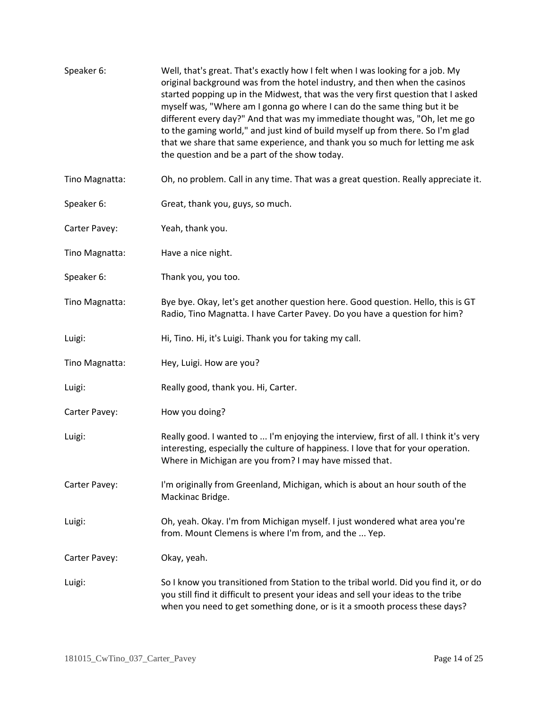| Speaker 6:     | Well, that's great. That's exactly how I felt when I was looking for a job. My<br>original background was from the hotel industry, and then when the casinos<br>started popping up in the Midwest, that was the very first question that I asked<br>myself was, "Where am I gonna go where I can do the same thing but it be<br>different every day?" And that was my immediate thought was, "Oh, let me go<br>to the gaming world," and just kind of build myself up from there. So I'm glad<br>that we share that same experience, and thank you so much for letting me ask<br>the question and be a part of the show today. |
|----------------|--------------------------------------------------------------------------------------------------------------------------------------------------------------------------------------------------------------------------------------------------------------------------------------------------------------------------------------------------------------------------------------------------------------------------------------------------------------------------------------------------------------------------------------------------------------------------------------------------------------------------------|
| Tino Magnatta: | Oh, no problem. Call in any time. That was a great question. Really appreciate it.                                                                                                                                                                                                                                                                                                                                                                                                                                                                                                                                             |
| Speaker 6:     | Great, thank you, guys, so much.                                                                                                                                                                                                                                                                                                                                                                                                                                                                                                                                                                                               |
| Carter Pavey:  | Yeah, thank you.                                                                                                                                                                                                                                                                                                                                                                                                                                                                                                                                                                                                               |
| Tino Magnatta: | Have a nice night.                                                                                                                                                                                                                                                                                                                                                                                                                                                                                                                                                                                                             |
| Speaker 6:     | Thank you, you too.                                                                                                                                                                                                                                                                                                                                                                                                                                                                                                                                                                                                            |
| Tino Magnatta: | Bye bye. Okay, let's get another question here. Good question. Hello, this is GT<br>Radio, Tino Magnatta. I have Carter Pavey. Do you have a question for him?                                                                                                                                                                                                                                                                                                                                                                                                                                                                 |
| Luigi:         | Hi, Tino. Hi, it's Luigi. Thank you for taking my call.                                                                                                                                                                                                                                                                                                                                                                                                                                                                                                                                                                        |
| Tino Magnatta: | Hey, Luigi. How are you?                                                                                                                                                                                                                                                                                                                                                                                                                                                                                                                                                                                                       |
| Luigi:         | Really good, thank you. Hi, Carter.                                                                                                                                                                                                                                                                                                                                                                                                                                                                                                                                                                                            |
| Carter Pavey:  | How you doing?                                                                                                                                                                                                                                                                                                                                                                                                                                                                                                                                                                                                                 |
| Luigi:         | Really good. I wanted to  I'm enjoying the interview, first of all. I think it's very<br>interesting, especially the culture of happiness. I love that for your operation.<br>Where in Michigan are you from? I may have missed that.                                                                                                                                                                                                                                                                                                                                                                                          |
| Carter Pavey:  | I'm originally from Greenland, Michigan, which is about an hour south of the<br>Mackinac Bridge.                                                                                                                                                                                                                                                                                                                                                                                                                                                                                                                               |
| Luigi:         | Oh, yeah. Okay. I'm from Michigan myself. I just wondered what area you're<br>from. Mount Clemens is where I'm from, and the  Yep.                                                                                                                                                                                                                                                                                                                                                                                                                                                                                             |
| Carter Pavey:  | Okay, yeah.                                                                                                                                                                                                                                                                                                                                                                                                                                                                                                                                                                                                                    |
| Luigi:         | So I know you transitioned from Station to the tribal world. Did you find it, or do<br>you still find it difficult to present your ideas and sell your ideas to the tribe<br>when you need to get something done, or is it a smooth process these days?                                                                                                                                                                                                                                                                                                                                                                        |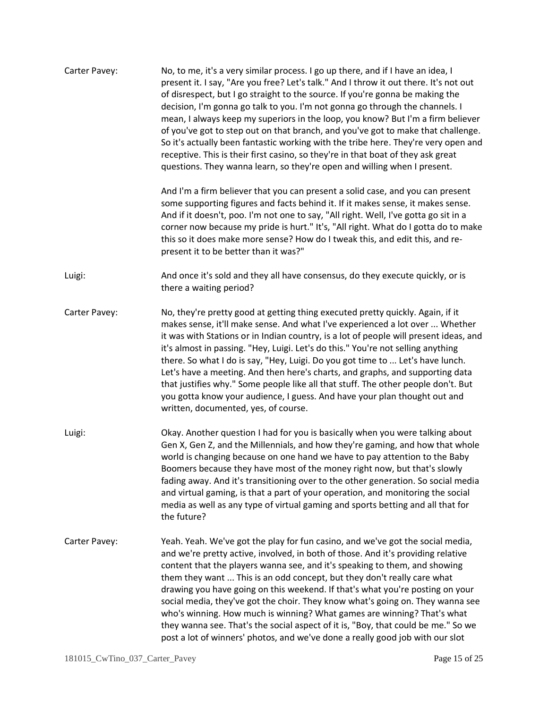| Carter Pavey: | No, to me, it's a very similar process. I go up there, and if I have an idea, I<br>present it. I say, "Are you free? Let's talk." And I throw it out there. It's not out<br>of disrespect, but I go straight to the source. If you're gonna be making the<br>decision, I'm gonna go talk to you. I'm not gonna go through the channels. I<br>mean, I always keep my superiors in the loop, you know? But I'm a firm believer<br>of you've got to step out on that branch, and you've got to make that challenge.<br>So it's actually been fantastic working with the tribe here. They're very open and<br>receptive. This is their first casino, so they're in that boat of they ask great<br>questions. They wanna learn, so they're open and willing when I present. |
|---------------|------------------------------------------------------------------------------------------------------------------------------------------------------------------------------------------------------------------------------------------------------------------------------------------------------------------------------------------------------------------------------------------------------------------------------------------------------------------------------------------------------------------------------------------------------------------------------------------------------------------------------------------------------------------------------------------------------------------------------------------------------------------------|
|               | And I'm a firm believer that you can present a solid case, and you can present<br>some supporting figures and facts behind it. If it makes sense, it makes sense.<br>And if it doesn't, poo. I'm not one to say, "All right. Well, I've gotta go sit in a<br>corner now because my pride is hurt." It's, "All right. What do I gotta do to make<br>this so it does make more sense? How do I tweak this, and edit this, and re-<br>present it to be better than it was?"                                                                                                                                                                                                                                                                                               |
| Luigi:        | And once it's sold and they all have consensus, do they execute quickly, or is<br>there a waiting period?                                                                                                                                                                                                                                                                                                                                                                                                                                                                                                                                                                                                                                                              |
| Carter Pavey: | No, they're pretty good at getting thing executed pretty quickly. Again, if it<br>makes sense, it'll make sense. And what I've experienced a lot over  Whether<br>it was with Stations or in Indian country, is a lot of people will present ideas, and<br>it's almost in passing. "Hey, Luigi. Let's do this." You're not selling anything<br>there. So what I do is say, "Hey, Luigi. Do you got time to  Let's have lunch.<br>Let's have a meeting. And then here's charts, and graphs, and supporting data<br>that justifies why." Some people like all that stuff. The other people don't. But<br>you gotta know your audience, I guess. And have your plan thought out and<br>written, documented, yes, of course.                                               |
| Luigi:        | Okay. Another question I had for you is basically when you were talking about<br>Gen X, Gen Z, and the Millennials, and how they're gaming, and how that whole<br>world is changing because on one hand we have to pay attention to the Baby<br>Boomers because they have most of the money right now, but that's slowly<br>fading away. And it's transitioning over to the other generation. So social media<br>and virtual gaming, is that a part of your operation, and monitoring the social<br>media as well as any type of virtual gaming and sports betting and all that for<br>the future?                                                                                                                                                                     |
| Carter Pavey: | Yeah. Yeah. We've got the play for fun casino, and we've got the social media,<br>and we're pretty active, involved, in both of those. And it's providing relative<br>content that the players wanna see, and it's speaking to them, and showing<br>them they want  This is an odd concept, but they don't really care what<br>drawing you have going on this weekend. If that's what you're posting on your<br>social media, they've got the choir. They know what's going on. They wanna see<br>who's winning. How much is winning? What games are winning? That's what<br>they wanna see. That's the social aspect of it is, "Boy, that could be me." So we<br>post a lot of winners' photos, and we've done a really good job with our slot                        |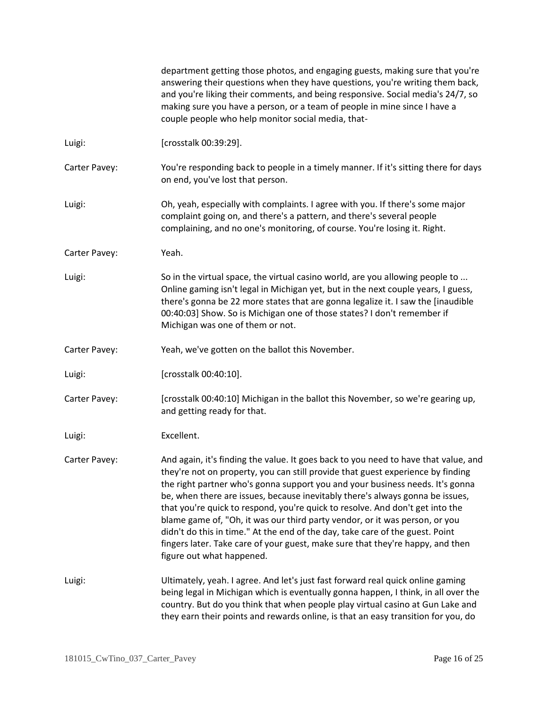|               | department getting those photos, and engaging guests, making sure that you're<br>answering their questions when they have questions, you're writing them back,<br>and you're liking their comments, and being responsive. Social media's 24/7, so<br>making sure you have a person, or a team of people in mine since I have a<br>couple people who help monitor social media, that-                                                                                                                                                                                                                                                                                                                     |
|---------------|----------------------------------------------------------------------------------------------------------------------------------------------------------------------------------------------------------------------------------------------------------------------------------------------------------------------------------------------------------------------------------------------------------------------------------------------------------------------------------------------------------------------------------------------------------------------------------------------------------------------------------------------------------------------------------------------------------|
| Luigi:        | [crosstalk 00:39:29].                                                                                                                                                                                                                                                                                                                                                                                                                                                                                                                                                                                                                                                                                    |
| Carter Pavey: | You're responding back to people in a timely manner. If it's sitting there for days<br>on end, you've lost that person.                                                                                                                                                                                                                                                                                                                                                                                                                                                                                                                                                                                  |
| Luigi:        | Oh, yeah, especially with complaints. I agree with you. If there's some major<br>complaint going on, and there's a pattern, and there's several people<br>complaining, and no one's monitoring, of course. You're losing it. Right.                                                                                                                                                                                                                                                                                                                                                                                                                                                                      |
| Carter Pavey: | Yeah.                                                                                                                                                                                                                                                                                                                                                                                                                                                                                                                                                                                                                                                                                                    |
| Luigi:        | So in the virtual space, the virtual casino world, are you allowing people to<br>Online gaming isn't legal in Michigan yet, but in the next couple years, I guess,<br>there's gonna be 22 more states that are gonna legalize it. I saw the [inaudible<br>00:40:03] Show. So is Michigan one of those states? I don't remember if<br>Michigan was one of them or not.                                                                                                                                                                                                                                                                                                                                    |
| Carter Pavey: | Yeah, we've gotten on the ballot this November.                                                                                                                                                                                                                                                                                                                                                                                                                                                                                                                                                                                                                                                          |
| Luigi:        | [crosstalk 00:40:10].                                                                                                                                                                                                                                                                                                                                                                                                                                                                                                                                                                                                                                                                                    |
| Carter Pavey: | [crosstalk 00:40:10] Michigan in the ballot this November, so we're gearing up,<br>and getting ready for that.                                                                                                                                                                                                                                                                                                                                                                                                                                                                                                                                                                                           |
| Luigi:        | Excellent.                                                                                                                                                                                                                                                                                                                                                                                                                                                                                                                                                                                                                                                                                               |
| Carter Pavey: | And again, it's finding the value. It goes back to you need to have that value, and<br>they're not on property, you can still provide that guest experience by finding<br>the right partner who's gonna support you and your business needs. It's gonna<br>be, when there are issues, because inevitably there's always gonna be issues,<br>that you're quick to respond, you're quick to resolve. And don't get into the<br>blame game of, "Oh, it was our third party vendor, or it was person, or you<br>didn't do this in time." At the end of the day, take care of the guest. Point<br>fingers later. Take care of your guest, make sure that they're happy, and then<br>figure out what happened. |
| Luigi:        | Ultimately, yeah. I agree. And let's just fast forward real quick online gaming<br>being legal in Michigan which is eventually gonna happen, I think, in all over the<br>country. But do you think that when people play virtual casino at Gun Lake and<br>they earn their points and rewards online, is that an easy transition for you, do                                                                                                                                                                                                                                                                                                                                                             |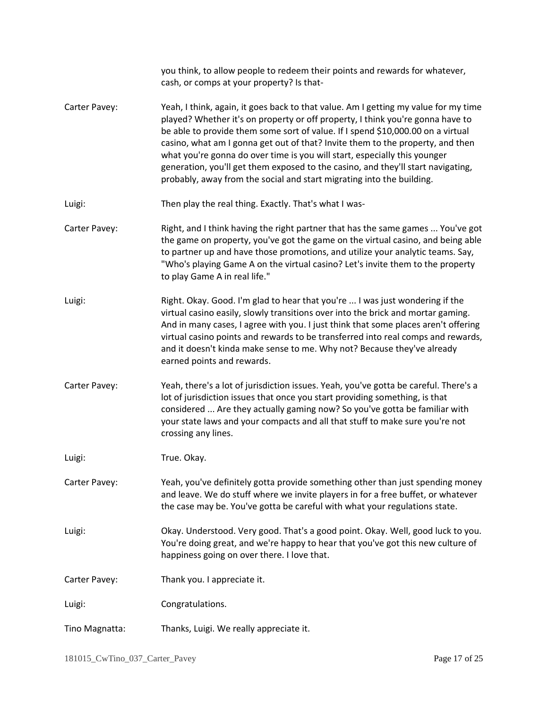|                | you think, to allow people to redeem their points and rewards for whatever,<br>cash, or comps at your property? Is that-                                                                                                                                                                                                                                                                                                                                                                                                                                                             |
|----------------|--------------------------------------------------------------------------------------------------------------------------------------------------------------------------------------------------------------------------------------------------------------------------------------------------------------------------------------------------------------------------------------------------------------------------------------------------------------------------------------------------------------------------------------------------------------------------------------|
| Carter Pavey:  | Yeah, I think, again, it goes back to that value. Am I getting my value for my time<br>played? Whether it's on property or off property, I think you're gonna have to<br>be able to provide them some sort of value. If I spend \$10,000.00 on a virtual<br>casino, what am I gonna get out of that? Invite them to the property, and then<br>what you're gonna do over time is you will start, especially this younger<br>generation, you'll get them exposed to the casino, and they'll start navigating,<br>probably, away from the social and start migrating into the building. |
| Luigi:         | Then play the real thing. Exactly. That's what I was-                                                                                                                                                                                                                                                                                                                                                                                                                                                                                                                                |
| Carter Pavey:  | Right, and I think having the right partner that has the same games  You've got<br>the game on property, you've got the game on the virtual casino, and being able<br>to partner up and have those promotions, and utilize your analytic teams. Say,<br>"Who's playing Game A on the virtual casino? Let's invite them to the property<br>to play Game A in real life."                                                                                                                                                                                                              |
| Luigi:         | Right. Okay. Good. I'm glad to hear that you're  I was just wondering if the<br>virtual casino easily, slowly transitions over into the brick and mortar gaming.<br>And in many cases, I agree with you. I just think that some places aren't offering<br>virtual casino points and rewards to be transferred into real comps and rewards,<br>and it doesn't kinda make sense to me. Why not? Because they've already<br>earned points and rewards.                                                                                                                                  |
| Carter Pavey:  | Yeah, there's a lot of jurisdiction issues. Yeah, you've gotta be careful. There's a<br>lot of jurisdiction issues that once you start providing something, is that<br>considered  Are they actually gaming now? So you've gotta be familiar with<br>your state laws and your compacts and all that stuff to make sure you're not<br>crossing any lines.                                                                                                                                                                                                                             |
| Luigi:         | True. Okay.                                                                                                                                                                                                                                                                                                                                                                                                                                                                                                                                                                          |
| Carter Pavey:  | Yeah, you've definitely gotta provide something other than just spending money<br>and leave. We do stuff where we invite players in for a free buffet, or whatever<br>the case may be. You've gotta be careful with what your regulations state.                                                                                                                                                                                                                                                                                                                                     |
| Luigi:         | Okay. Understood. Very good. That's a good point. Okay. Well, good luck to you.<br>You're doing great, and we're happy to hear that you've got this new culture of<br>happiness going on over there. I love that.                                                                                                                                                                                                                                                                                                                                                                    |
| Carter Pavey:  | Thank you. I appreciate it.                                                                                                                                                                                                                                                                                                                                                                                                                                                                                                                                                          |
| Luigi:         | Congratulations.                                                                                                                                                                                                                                                                                                                                                                                                                                                                                                                                                                     |
| Tino Magnatta: | Thanks, Luigi. We really appreciate it.                                                                                                                                                                                                                                                                                                                                                                                                                                                                                                                                              |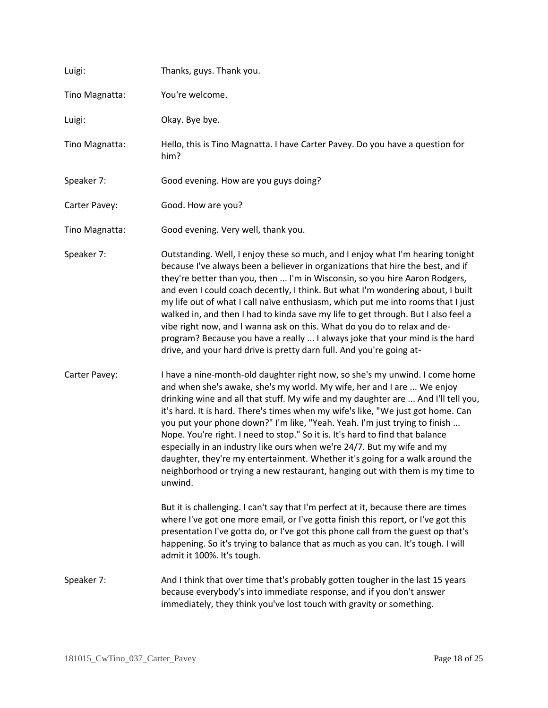| Luigi:         | Thanks, guys. Thank you.                                                                                                                                                                                                                                                                                                                                                                                                                                                                                                                                                                                                                                                                                                                                                                                                                                                                                                       |
|----------------|--------------------------------------------------------------------------------------------------------------------------------------------------------------------------------------------------------------------------------------------------------------------------------------------------------------------------------------------------------------------------------------------------------------------------------------------------------------------------------------------------------------------------------------------------------------------------------------------------------------------------------------------------------------------------------------------------------------------------------------------------------------------------------------------------------------------------------------------------------------------------------------------------------------------------------|
| Tino Magnatta: | You're welcome.                                                                                                                                                                                                                                                                                                                                                                                                                                                                                                                                                                                                                                                                                                                                                                                                                                                                                                                |
| Luigi:         | Okay. Bye bye.                                                                                                                                                                                                                                                                                                                                                                                                                                                                                                                                                                                                                                                                                                                                                                                                                                                                                                                 |
| Tino Magnatta: | Hello, this is Tino Magnatta. I have Carter Pavey. Do you have a question for<br>him?                                                                                                                                                                                                                                                                                                                                                                                                                                                                                                                                                                                                                                                                                                                                                                                                                                          |
| Speaker 7:     | Good evening. How are you guys doing?                                                                                                                                                                                                                                                                                                                                                                                                                                                                                                                                                                                                                                                                                                                                                                                                                                                                                          |
| Carter Pavey:  | Good. How are you?                                                                                                                                                                                                                                                                                                                                                                                                                                                                                                                                                                                                                                                                                                                                                                                                                                                                                                             |
| Tino Magnatta: | Good evening. Very well, thank you.                                                                                                                                                                                                                                                                                                                                                                                                                                                                                                                                                                                                                                                                                                                                                                                                                                                                                            |
| Speaker 7:     | Outstanding. Well, I enjoy these so much, and I enjoy what I'm hearing tonight<br>because I've always been a believer in organizations that hire the best, and if<br>they're better than you, then  I'm in Wisconsin, so you hire Aaron Rodgers,<br>and even I could coach decently, I think. But what I'm wondering about, I built<br>my life out of what I call naïve enthusiasm, which put me into rooms that I just<br>walked in, and then I had to kinda save my life to get through. But I also feel a<br>vibe right now, and I wanna ask on this. What do you do to relax and de-<br>program? Because you have a really  I always joke that your mind is the hard<br>drive, and your hard drive is pretty darn full. And you're going at-                                                                                                                                                                               |
| Carter Pavey:  | I have a nine-month-old daughter right now, so she's my unwind. I come home<br>and when she's awake, she's my world. My wife, her and I are  We enjoy<br>drinking wine and all that stuff. My wife and my daughter are  And I'll tell you,<br>it's hard. It is hard. There's times when my wife's like, "We just got home. Can<br>you put your phone down?" I'm like, "Yeah. Yeah. I'm just trying to finish<br>Nope. You're right. I need to stop." So it is. It's hard to find that balance<br>especially in an industry like ours when we're 24/7. But my wife and my<br>daughter, they're my entertainment. Whether it's going for a walk around the<br>neighborhood or trying a new restaurant, hanging out with them is my time to<br>unwind.<br>But it is challenging. I can't say that I'm perfect at it, because there are times<br>where I've got one more email, or I've gotta finish this report, or I've got this |
|                | presentation I've gotta do, or I've got this phone call from the guest op that's<br>happening. So it's trying to balance that as much as you can. It's tough. I will<br>admit it 100%. It's tough.                                                                                                                                                                                                                                                                                                                                                                                                                                                                                                                                                                                                                                                                                                                             |
| Speaker 7:     | And I think that over time that's probably gotten tougher in the last 15 years<br>because everybody's into immediate response, and if you don't answer<br>immediately, they think you've lost touch with gravity or something.                                                                                                                                                                                                                                                                                                                                                                                                                                                                                                                                                                                                                                                                                                 |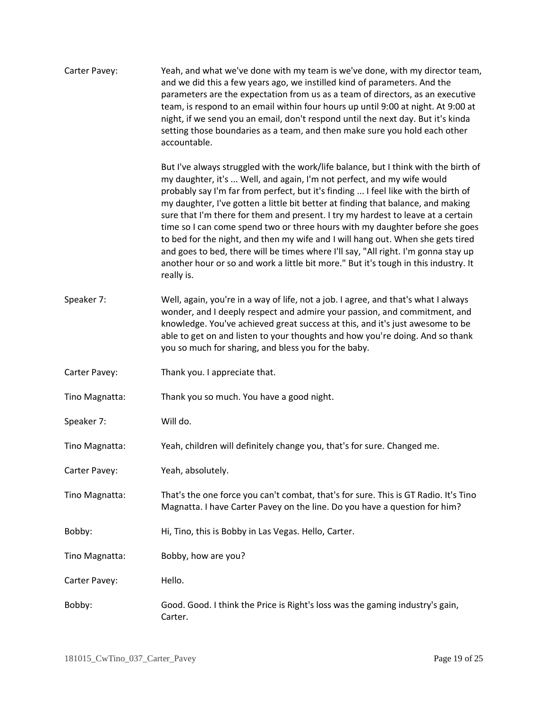| Carter Pavey:  | Yeah, and what we've done with my team is we've done, with my director team,<br>and we did this a few years ago, we instilled kind of parameters. And the<br>parameters are the expectation from us as a team of directors, as an executive<br>team, is respond to an email within four hours up until 9:00 at night. At 9:00 at<br>night, if we send you an email, don't respond until the next day. But it's kinda<br>setting those boundaries as a team, and then make sure you hold each other<br>accountable.                                                                                                                                                                                                                                                                        |
|----------------|-------------------------------------------------------------------------------------------------------------------------------------------------------------------------------------------------------------------------------------------------------------------------------------------------------------------------------------------------------------------------------------------------------------------------------------------------------------------------------------------------------------------------------------------------------------------------------------------------------------------------------------------------------------------------------------------------------------------------------------------------------------------------------------------|
|                | But I've always struggled with the work/life balance, but I think with the birth of<br>my daughter, it's  Well, and again, I'm not perfect, and my wife would<br>probably say I'm far from perfect, but it's finding  I feel like with the birth of<br>my daughter, I've gotten a little bit better at finding that balance, and making<br>sure that I'm there for them and present. I try my hardest to leave at a certain<br>time so I can come spend two or three hours with my daughter before she goes<br>to bed for the night, and then my wife and I will hang out. When she gets tired<br>and goes to bed, there will be times where I'll say, "All right. I'm gonna stay up<br>another hour or so and work a little bit more." But it's tough in this industry. It<br>really is. |
| Speaker 7:     | Well, again, you're in a way of life, not a job. I agree, and that's what I always<br>wonder, and I deeply respect and admire your passion, and commitment, and<br>knowledge. You've achieved great success at this, and it's just awesome to be<br>able to get on and listen to your thoughts and how you're doing. And so thank<br>you so much for sharing, and bless you for the baby.                                                                                                                                                                                                                                                                                                                                                                                                 |
| Carter Pavey:  | Thank you. I appreciate that.                                                                                                                                                                                                                                                                                                                                                                                                                                                                                                                                                                                                                                                                                                                                                             |
| Tino Magnatta: | Thank you so much. You have a good night.                                                                                                                                                                                                                                                                                                                                                                                                                                                                                                                                                                                                                                                                                                                                                 |
| Speaker 7:     | Will do.                                                                                                                                                                                                                                                                                                                                                                                                                                                                                                                                                                                                                                                                                                                                                                                  |
| Tino Magnatta: | Yeah, children will definitely change you, that's for sure. Changed me.                                                                                                                                                                                                                                                                                                                                                                                                                                                                                                                                                                                                                                                                                                                   |
| Carter Pavey:  | Yeah, absolutely.                                                                                                                                                                                                                                                                                                                                                                                                                                                                                                                                                                                                                                                                                                                                                                         |
| Tino Magnatta: | That's the one force you can't combat, that's for sure. This is GT Radio. It's Tino<br>Magnatta. I have Carter Pavey on the line. Do you have a question for him?                                                                                                                                                                                                                                                                                                                                                                                                                                                                                                                                                                                                                         |
| Bobby:         | Hi, Tino, this is Bobby in Las Vegas. Hello, Carter.                                                                                                                                                                                                                                                                                                                                                                                                                                                                                                                                                                                                                                                                                                                                      |
| Tino Magnatta: | Bobby, how are you?                                                                                                                                                                                                                                                                                                                                                                                                                                                                                                                                                                                                                                                                                                                                                                       |
| Carter Pavey:  | Hello.                                                                                                                                                                                                                                                                                                                                                                                                                                                                                                                                                                                                                                                                                                                                                                                    |
| Bobby:         | Good. Good. I think the Price is Right's loss was the gaming industry's gain,<br>Carter.                                                                                                                                                                                                                                                                                                                                                                                                                                                                                                                                                                                                                                                                                                  |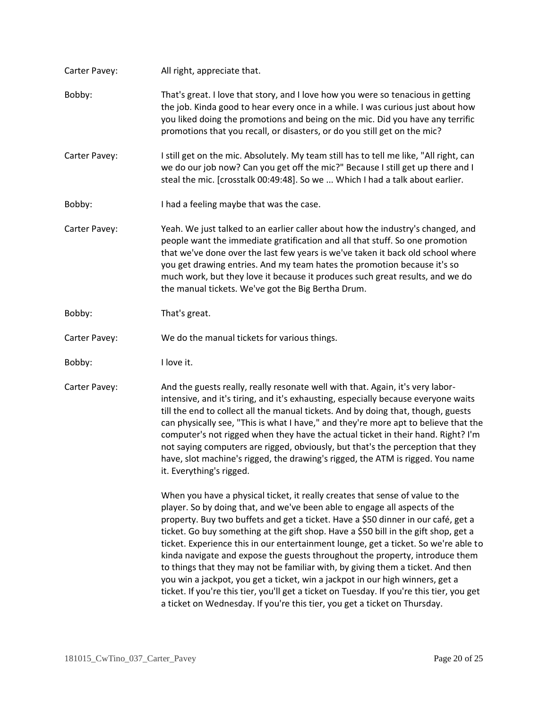| Carter Pavey: | All right, appreciate that.                                                                                                                                                                                                                                                                                                                                                                                                                                                                                                                                                                                                                                                                                                                                                                                                                                  |
|---------------|--------------------------------------------------------------------------------------------------------------------------------------------------------------------------------------------------------------------------------------------------------------------------------------------------------------------------------------------------------------------------------------------------------------------------------------------------------------------------------------------------------------------------------------------------------------------------------------------------------------------------------------------------------------------------------------------------------------------------------------------------------------------------------------------------------------------------------------------------------------|
| Bobby:        | That's great. I love that story, and I love how you were so tenacious in getting<br>the job. Kinda good to hear every once in a while. I was curious just about how<br>you liked doing the promotions and being on the mic. Did you have any terrific<br>promotions that you recall, or disasters, or do you still get on the mic?                                                                                                                                                                                                                                                                                                                                                                                                                                                                                                                           |
| Carter Pavey: | I still get on the mic. Absolutely. My team still has to tell me like, "All right, can<br>we do our job now? Can you get off the mic?" Because I still get up there and I<br>steal the mic. [crosstalk 00:49:48]. So we  Which I had a talk about earlier.                                                                                                                                                                                                                                                                                                                                                                                                                                                                                                                                                                                                   |
| Bobby:        | I had a feeling maybe that was the case.                                                                                                                                                                                                                                                                                                                                                                                                                                                                                                                                                                                                                                                                                                                                                                                                                     |
| Carter Pavey: | Yeah. We just talked to an earlier caller about how the industry's changed, and<br>people want the immediate gratification and all that stuff. So one promotion<br>that we've done over the last few years is we've taken it back old school where<br>you get drawing entries. And my team hates the promotion because it's so<br>much work, but they love it because it produces such great results, and we do<br>the manual tickets. We've got the Big Bertha Drum.                                                                                                                                                                                                                                                                                                                                                                                        |
| Bobby:        | That's great.                                                                                                                                                                                                                                                                                                                                                                                                                                                                                                                                                                                                                                                                                                                                                                                                                                                |
| Carter Pavey: | We do the manual tickets for various things.                                                                                                                                                                                                                                                                                                                                                                                                                                                                                                                                                                                                                                                                                                                                                                                                                 |
| Bobby:        | I love it.                                                                                                                                                                                                                                                                                                                                                                                                                                                                                                                                                                                                                                                                                                                                                                                                                                                   |
| Carter Pavey: | And the guests really, really resonate well with that. Again, it's very labor-<br>intensive, and it's tiring, and it's exhausting, especially because everyone waits<br>till the end to collect all the manual tickets. And by doing that, though, guests<br>can physically see, "This is what I have," and they're more apt to believe that the<br>computer's not rigged when they have the actual ticket in their hand. Right? I'm<br>not saying computers are rigged, obviously, but that's the perception that they<br>have, slot machine's rigged, the drawing's rigged, the ATM is rigged. You name<br>it. Everything's rigged.                                                                                                                                                                                                                        |
|               | When you have a physical ticket, it really creates that sense of value to the<br>player. So by doing that, and we've been able to engage all aspects of the<br>property. Buy two buffets and get a ticket. Have a \$50 dinner in our café, get a<br>ticket. Go buy something at the gift shop. Have a \$50 bill in the gift shop, get a<br>ticket. Experience this in our entertainment lounge, get a ticket. So we're able to<br>kinda navigate and expose the guests throughout the property, introduce them<br>to things that they may not be familiar with, by giving them a ticket. And then<br>you win a jackpot, you get a ticket, win a jackpot in our high winners, get a<br>ticket. If you're this tier, you'll get a ticket on Tuesday. If you're this tier, you get<br>a ticket on Wednesday. If you're this tier, you get a ticket on Thursday. |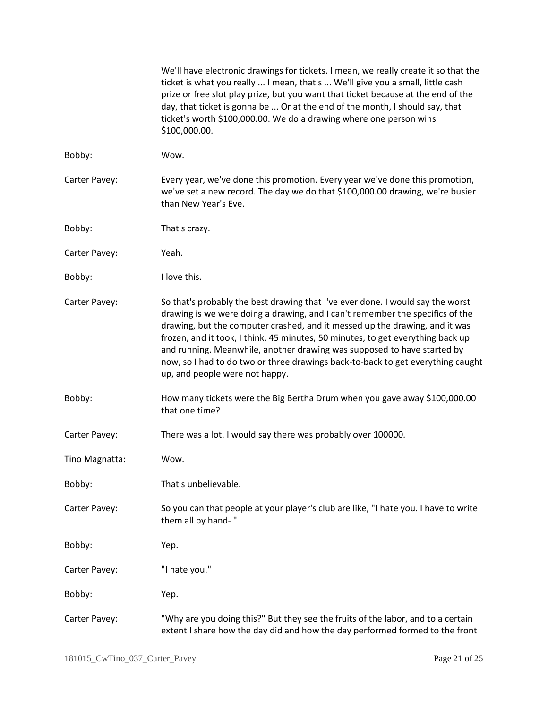|                | We'll have electronic drawings for tickets. I mean, we really create it so that the<br>ticket is what you really  I mean, that's  We'll give you a small, little cash<br>prize or free slot play prize, but you want that ticket because at the end of the<br>day, that ticket is gonna be  Or at the end of the month, I should say, that<br>ticket's worth \$100,000.00. We do a drawing where one person wins<br>\$100,000.00.                                                                                                 |
|----------------|-----------------------------------------------------------------------------------------------------------------------------------------------------------------------------------------------------------------------------------------------------------------------------------------------------------------------------------------------------------------------------------------------------------------------------------------------------------------------------------------------------------------------------------|
| Bobby:         | Wow.                                                                                                                                                                                                                                                                                                                                                                                                                                                                                                                              |
| Carter Pavey:  | Every year, we've done this promotion. Every year we've done this promotion,<br>we've set a new record. The day we do that \$100,000.00 drawing, we're busier<br>than New Year's Eve.                                                                                                                                                                                                                                                                                                                                             |
| Bobby:         | That's crazy.                                                                                                                                                                                                                                                                                                                                                                                                                                                                                                                     |
| Carter Pavey:  | Yeah.                                                                                                                                                                                                                                                                                                                                                                                                                                                                                                                             |
| Bobby:         | I love this.                                                                                                                                                                                                                                                                                                                                                                                                                                                                                                                      |
| Carter Pavey:  | So that's probably the best drawing that I've ever done. I would say the worst<br>drawing is we were doing a drawing, and I can't remember the specifics of the<br>drawing, but the computer crashed, and it messed up the drawing, and it was<br>frozen, and it took, I think, 45 minutes, 50 minutes, to get everything back up<br>and running. Meanwhile, another drawing was supposed to have started by<br>now, so I had to do two or three drawings back-to-back to get everything caught<br>up, and people were not happy. |
| Bobby:         | How many tickets were the Big Bertha Drum when you gave away \$100,000.00<br>that one time?                                                                                                                                                                                                                                                                                                                                                                                                                                       |
| Carter Pavey:  | There was a lot. I would say there was probably over 100000.                                                                                                                                                                                                                                                                                                                                                                                                                                                                      |
| Tino Magnatta: | Wow.                                                                                                                                                                                                                                                                                                                                                                                                                                                                                                                              |
| Bobby:         | That's unbelievable.                                                                                                                                                                                                                                                                                                                                                                                                                                                                                                              |
| Carter Pavey:  | So you can that people at your player's club are like, "I hate you. I have to write<br>them all by hand-"                                                                                                                                                                                                                                                                                                                                                                                                                         |
| Bobby:         | Yep.                                                                                                                                                                                                                                                                                                                                                                                                                                                                                                                              |
| Carter Pavey:  | "I hate you."                                                                                                                                                                                                                                                                                                                                                                                                                                                                                                                     |
| Bobby:         | Yep.                                                                                                                                                                                                                                                                                                                                                                                                                                                                                                                              |
| Carter Pavey:  | "Why are you doing this?" But they see the fruits of the labor, and to a certain<br>extent I share how the day did and how the day performed formed to the front                                                                                                                                                                                                                                                                                                                                                                  |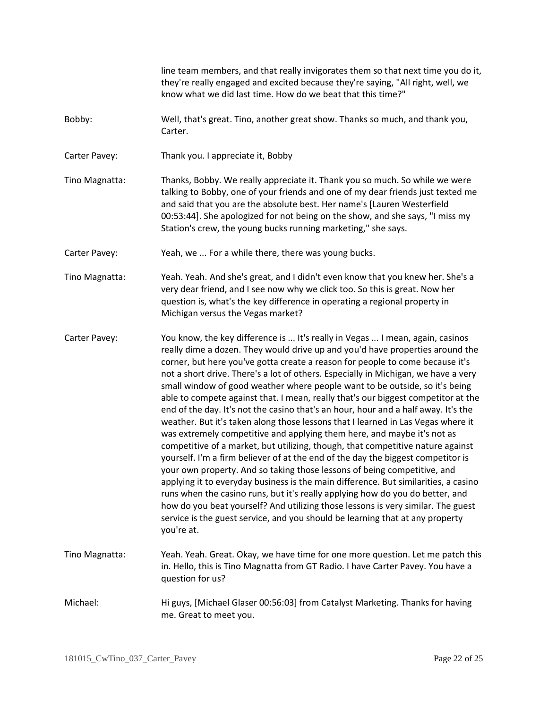|                | line team members, and that really invigorates them so that next time you do it,<br>they're really engaged and excited because they're saying, "All right, well, we<br>know what we did last time. How do we beat that this time?"                                                                                                                                                                                                                                                                                                                                                                                                                                                                                                                                                                                                                                                                                                                                                                                                                                                                                                                                                                                                                                                                                                                                           |
|----------------|------------------------------------------------------------------------------------------------------------------------------------------------------------------------------------------------------------------------------------------------------------------------------------------------------------------------------------------------------------------------------------------------------------------------------------------------------------------------------------------------------------------------------------------------------------------------------------------------------------------------------------------------------------------------------------------------------------------------------------------------------------------------------------------------------------------------------------------------------------------------------------------------------------------------------------------------------------------------------------------------------------------------------------------------------------------------------------------------------------------------------------------------------------------------------------------------------------------------------------------------------------------------------------------------------------------------------------------------------------------------------|
| Bobby:         | Well, that's great. Tino, another great show. Thanks so much, and thank you,<br>Carter.                                                                                                                                                                                                                                                                                                                                                                                                                                                                                                                                                                                                                                                                                                                                                                                                                                                                                                                                                                                                                                                                                                                                                                                                                                                                                      |
| Carter Pavey:  | Thank you. I appreciate it, Bobby                                                                                                                                                                                                                                                                                                                                                                                                                                                                                                                                                                                                                                                                                                                                                                                                                                                                                                                                                                                                                                                                                                                                                                                                                                                                                                                                            |
| Tino Magnatta: | Thanks, Bobby. We really appreciate it. Thank you so much. So while we were<br>talking to Bobby, one of your friends and one of my dear friends just texted me<br>and said that you are the absolute best. Her name's [Lauren Westerfield<br>00:53:44]. She apologized for not being on the show, and she says, "I miss my<br>Station's crew, the young bucks running marketing," she says.                                                                                                                                                                                                                                                                                                                                                                                                                                                                                                                                                                                                                                                                                                                                                                                                                                                                                                                                                                                  |
| Carter Pavey:  | Yeah, we  For a while there, there was young bucks.                                                                                                                                                                                                                                                                                                                                                                                                                                                                                                                                                                                                                                                                                                                                                                                                                                                                                                                                                                                                                                                                                                                                                                                                                                                                                                                          |
| Tino Magnatta: | Yeah. Yeah. And she's great, and I didn't even know that you knew her. She's a<br>very dear friend, and I see now why we click too. So this is great. Now her<br>question is, what's the key difference in operating a regional property in<br>Michigan versus the Vegas market?                                                                                                                                                                                                                                                                                                                                                                                                                                                                                                                                                                                                                                                                                                                                                                                                                                                                                                                                                                                                                                                                                             |
| Carter Pavey:  | You know, the key difference is  It's really in Vegas  I mean, again, casinos<br>really dime a dozen. They would drive up and you'd have properties around the<br>corner, but here you've gotta create a reason for people to come because it's<br>not a short drive. There's a lot of others. Especially in Michigan, we have a very<br>small window of good weather where people want to be outside, so it's being<br>able to compete against that. I mean, really that's our biggest competitor at the<br>end of the day. It's not the casino that's an hour, hour and a half away. It's the<br>weather. But it's taken along those lessons that I learned in Las Vegas where it<br>was extremely competitive and applying them here, and maybe it's not as<br>competitive of a market, but utilizing, though, that competitive nature against<br>yourself. I'm a firm believer of at the end of the day the biggest competitor is<br>your own property. And so taking those lessons of being competitive, and<br>applying it to everyday business is the main difference. But similarities, a casino<br>runs when the casino runs, but it's really applying how do you do better, and<br>how do you beat yourself? And utilizing those lessons is very similar. The guest<br>service is the guest service, and you should be learning that at any property<br>you're at. |
| Tino Magnatta: | Yeah. Yeah. Great. Okay, we have time for one more question. Let me patch this<br>in. Hello, this is Tino Magnatta from GT Radio. I have Carter Pavey. You have a<br>question for us?                                                                                                                                                                                                                                                                                                                                                                                                                                                                                                                                                                                                                                                                                                                                                                                                                                                                                                                                                                                                                                                                                                                                                                                        |
| Michael:       | Hi guys, [Michael Glaser 00:56:03] from Catalyst Marketing. Thanks for having<br>me. Great to meet you.                                                                                                                                                                                                                                                                                                                                                                                                                                                                                                                                                                                                                                                                                                                                                                                                                                                                                                                                                                                                                                                                                                                                                                                                                                                                      |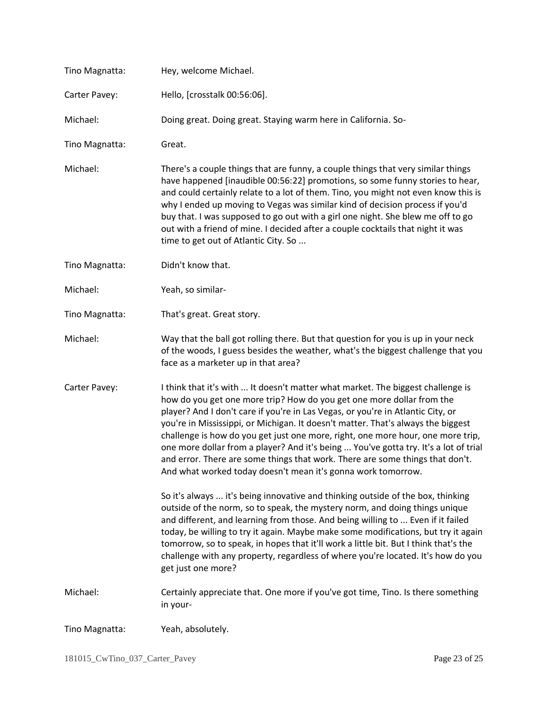| Tino Magnatta: | Hey, welcome Michael.                                                                                                                                                                                                                                                                                                                                                                                                                                                                                                                                                                                                                                       |
|----------------|-------------------------------------------------------------------------------------------------------------------------------------------------------------------------------------------------------------------------------------------------------------------------------------------------------------------------------------------------------------------------------------------------------------------------------------------------------------------------------------------------------------------------------------------------------------------------------------------------------------------------------------------------------------|
| Carter Pavey:  | Hello, [crosstalk 00:56:06].                                                                                                                                                                                                                                                                                                                                                                                                                                                                                                                                                                                                                                |
| Michael:       | Doing great. Doing great. Staying warm here in California. So-                                                                                                                                                                                                                                                                                                                                                                                                                                                                                                                                                                                              |
| Tino Magnatta: | Great.                                                                                                                                                                                                                                                                                                                                                                                                                                                                                                                                                                                                                                                      |
| Michael:       | There's a couple things that are funny, a couple things that very similar things<br>have happened [inaudible 00:56:22] promotions, so some funny stories to hear,<br>and could certainly relate to a lot of them. Tino, you might not even know this is<br>why I ended up moving to Vegas was similar kind of decision process if you'd<br>buy that. I was supposed to go out with a girl one night. She blew me off to go<br>out with a friend of mine. I decided after a couple cocktails that night it was<br>time to get out of Atlantic City. So                                                                                                       |
| Tino Magnatta: | Didn't know that.                                                                                                                                                                                                                                                                                                                                                                                                                                                                                                                                                                                                                                           |
| Michael:       | Yeah, so similar-                                                                                                                                                                                                                                                                                                                                                                                                                                                                                                                                                                                                                                           |
| Tino Magnatta: | That's great. Great story.                                                                                                                                                                                                                                                                                                                                                                                                                                                                                                                                                                                                                                  |
| Michael:       | Way that the ball got rolling there. But that question for you is up in your neck<br>of the woods, I guess besides the weather, what's the biggest challenge that you<br>face as a marketer up in that area?                                                                                                                                                                                                                                                                                                                                                                                                                                                |
| Carter Pavey:  | I think that it's with  It doesn't matter what market. The biggest challenge is<br>how do you get one more trip? How do you get one more dollar from the<br>player? And I don't care if you're in Las Vegas, or you're in Atlantic City, or<br>you're in Mississippi, or Michigan. It doesn't matter. That's always the biggest<br>challenge is how do you get just one more, right, one more hour, one more trip,<br>one more dollar from a player? And it's being  You've gotta try. It's a lot of trial<br>and error. There are some things that work. There are some things that don't.<br>And what worked today doesn't mean it's gonna work tomorrow. |
|                | So it's always  it's being innovative and thinking outside of the box, thinking<br>outside of the norm, so to speak, the mystery norm, and doing things unique<br>and different, and learning from those. And being willing to  Even if it failed<br>today, be willing to try it again. Maybe make some modifications, but try it again<br>tomorrow, so to speak, in hopes that it'll work a little bit. But I think that's the<br>challenge with any property, regardless of where you're located. It's how do you<br>get just one more?                                                                                                                   |
| Michael:       | Certainly appreciate that. One more if you've got time, Tino. Is there something<br>in your-                                                                                                                                                                                                                                                                                                                                                                                                                                                                                                                                                                |
| Tino Magnatta: | Yeah, absolutely.                                                                                                                                                                                                                                                                                                                                                                                                                                                                                                                                                                                                                                           |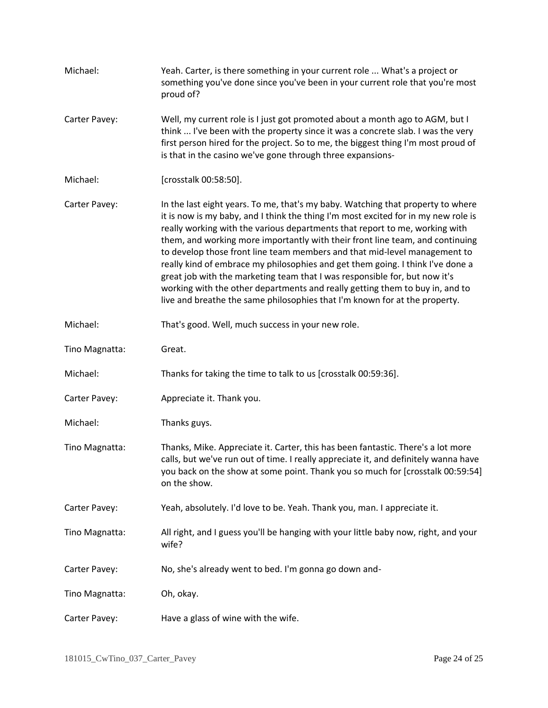| Michael:       | Yeah. Carter, is there something in your current role  What's a project or<br>something you've done since you've been in your current role that you're most<br>proud of?                                                                                                                                                                                                                                                                                                                                                                                                                                                                                                                                                                         |
|----------------|--------------------------------------------------------------------------------------------------------------------------------------------------------------------------------------------------------------------------------------------------------------------------------------------------------------------------------------------------------------------------------------------------------------------------------------------------------------------------------------------------------------------------------------------------------------------------------------------------------------------------------------------------------------------------------------------------------------------------------------------------|
| Carter Pavey:  | Well, my current role is I just got promoted about a month ago to AGM, but I<br>think  I've been with the property since it was a concrete slab. I was the very<br>first person hired for the project. So to me, the biggest thing I'm most proud of<br>is that in the casino we've gone through three expansions-                                                                                                                                                                                                                                                                                                                                                                                                                               |
| Michael:       | [crosstalk 00:58:50].                                                                                                                                                                                                                                                                                                                                                                                                                                                                                                                                                                                                                                                                                                                            |
| Carter Pavey:  | In the last eight years. To me, that's my baby. Watching that property to where<br>it is now is my baby, and I think the thing I'm most excited for in my new role is<br>really working with the various departments that report to me, working with<br>them, and working more importantly with their front line team, and continuing<br>to develop those front line team members and that mid-level management to<br>really kind of embrace my philosophies and get them going. I think I've done a<br>great job with the marketing team that I was responsible for, but now it's<br>working with the other departments and really getting them to buy in, and to<br>live and breathe the same philosophies that I'm known for at the property. |
| Michael:       | That's good. Well, much success in your new role.                                                                                                                                                                                                                                                                                                                                                                                                                                                                                                                                                                                                                                                                                                |
| Tino Magnatta: | Great.                                                                                                                                                                                                                                                                                                                                                                                                                                                                                                                                                                                                                                                                                                                                           |
| Michael:       | Thanks for taking the time to talk to us [crosstalk 00:59:36].                                                                                                                                                                                                                                                                                                                                                                                                                                                                                                                                                                                                                                                                                   |
| Carter Pavey:  | Appreciate it. Thank you.                                                                                                                                                                                                                                                                                                                                                                                                                                                                                                                                                                                                                                                                                                                        |
| Michael:       | Thanks guys.                                                                                                                                                                                                                                                                                                                                                                                                                                                                                                                                                                                                                                                                                                                                     |
| Tino Magnatta: | Thanks, Mike. Appreciate it. Carter, this has been fantastic. There's a lot more<br>calls, but we've run out of time. I really appreciate it, and definitely wanna have<br>you back on the show at some point. Thank you so much for [crosstalk 00:59:54]<br>on the show.                                                                                                                                                                                                                                                                                                                                                                                                                                                                        |
| Carter Pavey:  | Yeah, absolutely. I'd love to be. Yeah. Thank you, man. I appreciate it.                                                                                                                                                                                                                                                                                                                                                                                                                                                                                                                                                                                                                                                                         |
| Tino Magnatta: | All right, and I guess you'll be hanging with your little baby now, right, and your<br>wife?                                                                                                                                                                                                                                                                                                                                                                                                                                                                                                                                                                                                                                                     |
| Carter Pavey:  | No, she's already went to bed. I'm gonna go down and-                                                                                                                                                                                                                                                                                                                                                                                                                                                                                                                                                                                                                                                                                            |
| Tino Magnatta: | Oh, okay.                                                                                                                                                                                                                                                                                                                                                                                                                                                                                                                                                                                                                                                                                                                                        |
| Carter Pavey:  | Have a glass of wine with the wife.                                                                                                                                                                                                                                                                                                                                                                                                                                                                                                                                                                                                                                                                                                              |